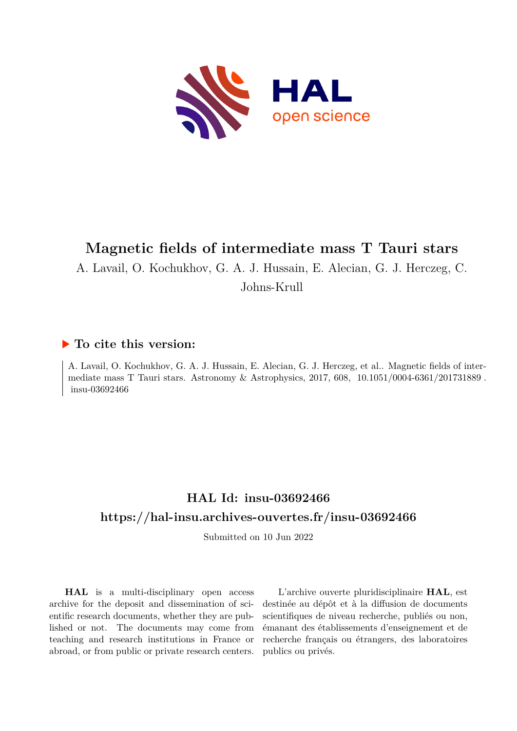

# **Magnetic fields of intermediate mass T Tauri stars**

A. Lavail, O. Kochukhov, G. A. J. Hussain, E. Alecian, G. J. Herczeg, C.

Johns-Krull

# **To cite this version:**

A. Lavail, O. Kochukhov, G. A. J. Hussain, E. Alecian, G. J. Herczeg, et al.. Magnetic fields of intermediate mass T Tauri stars. Astronomy & Astrophysics, 2017, 608, 10.1051/0004-6361/201731889. insu-03692466

# **HAL Id: insu-03692466 <https://hal-insu.archives-ouvertes.fr/insu-03692466>**

Submitted on 10 Jun 2022

**HAL** is a multi-disciplinary open access archive for the deposit and dissemination of scientific research documents, whether they are published or not. The documents may come from teaching and research institutions in France or abroad, or from public or private research centers.

L'archive ouverte pluridisciplinaire **HAL**, est destinée au dépôt et à la diffusion de documents scientifiques de niveau recherche, publiés ou non, émanant des établissements d'enseignement et de recherche français ou étrangers, des laboratoires publics ou privés.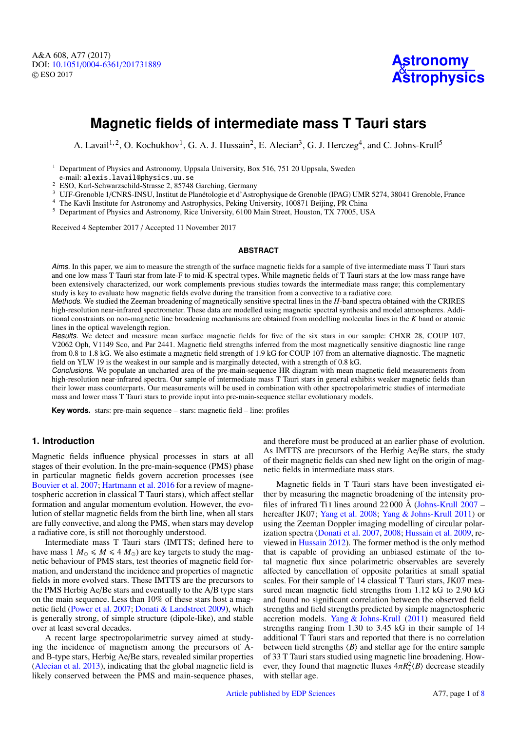A&A 608, A77 (2017) DOI: 10.1051/0004-6361/[201731889](https://doi.org/10.1051/0004-6361/201731889) c ESO 2017



# **Magnetic fields of intermediate mass T Tauri stars**

A. Lavail<sup>1, 2</sup>, O. Kochukhov<sup>1</sup>, G. A. J. Hussain<sup>2</sup>, E. Alecian<sup>3</sup>, G. J. Herczeg<sup>4</sup>, and C. Johns-Krull<sup>5</sup>

<sup>1</sup> Department of Physics and Astronomy, Uppsala University, Box 516, 751 20 Uppsala, Sweden

e-mail: alexis.lavail@physics.uu.se

<sup>2</sup> ESO, Karl-Schwarzschild-Strasse 2, 85748 Garching, Germany

<sup>3</sup> UJF-Grenoble 1/CNRS-INSU, Institut de Planétologie et d'Astrophysique de Grenoble (IPAG) UMR 5274, 38041 Grenoble, France

<sup>4</sup> The Kavli Institute for Astronomy and Astrophysics, Peking University, 100871 Beijing, PR China

<sup>5</sup> Department of Physics and Astronomy, Rice University, 6100 Main Street, Houston, TX 77005, USA

Received 4 September 2017 / Accepted 11 November 2017

#### **ABSTRACT**

Aims. In this paper, we aim to measure the strength of the surface magnetic fields for a sample of five intermediate mass T Tauri stars and one low mass T Tauri star from late-F to mid-K spectral types. While magnetic fields of T Tauri stars at the low mass range have been extensively characterized, our work complements previous studies towards the intermediate mass range; this complementary study is key to evaluate how magnetic fields evolve during the transition from a convective to a radiative core.

Methods. We studied the Zeeman broadening of magnetically sensitive spectral lines in the *H*-band spectra obtained with the CRIRES high-resolution near-infrared spectrometer. These data are modelled using magnetic spectral synthesis and model atmospheres. Additional constraints on non-magnetic line broadening mechanisms are obtained from modelling molecular lines in the *K* band or atomic lines in the optical wavelength region.

Results. We detect and measure mean surface magnetic fields for five of the six stars in our sample: CHXR 28, COUP 107, V2062 Oph, V1149 Sco, and Par 2441. Magnetic field strengths inferred from the most magnetically sensitive diagnostic line range from 0.8 to 1.8 kG. We also estimate a magnetic field strength of 1.9 kG for COUP 107 from an alternative diagnostic. The magnetic field on YLW 19 is the weakest in our sample and is marginally detected, with a strength of 0.8 kG.

Conclusions. We populate an uncharted area of the pre-main-sequence HR diagram with mean magnetic field measurements from high-resolution near-infrared spectra. Our sample of intermediate mass T Tauri stars in general exhibits weaker magnetic fields than their lower mass counterparts. Our measurements will be used in combination with other spectropolarimetric studies of intermediate mass and lower mass T Tauri stars to provide input into pre-main-sequence stellar evolutionary models.

**Key words.** stars: pre-main sequence – stars: magnetic field – line: profiles

# **1. Introduction**

Magnetic fields influence physical processes in stars at all stages of their evolution. In the pre-main-sequence (PMS) phase in particular magnetic fields govern accretion processes (see Bouvier et al. 2007; Hartmann et al. 2016 for a review of magnetospheric accretion in classical T Tauri stars), which affect stellar formation and angular momentum evolution. However, the evolution of stellar magnetic fields from the birth line, when all stars are fully convective, and along the PMS, when stars may develop a radiative core, is still not thoroughly understood.

Intermediate mass T Tauri stars (IMTTS; defined here to have mass  $1 M_{\odot} \le M \le 4 M_{\odot}$ ) are key targets to study the magnetic behaviour of PMS stars, test theories of magnetic field formation, and understand the incidence and properties of magnetic fields in more evolved stars. These IMTTS are the precursors to the PMS Herbig Ae/Be stars and eventually to the A/B type stars on the main sequence. Less than 10% of these stars host a magnetic field (Power et al. 2007; Donati & Landstreet 2009), which is generally strong, of simple structure (dipole-like), and stable over at least several decades.

A recent large spectropolarimetric survey aimed at studying the incidence of magnetism among the precursors of Aand B-type stars, Herbig Ae/Be stars, revealed similar properties (Alecian et al. 2013), indicating that the global magnetic field is likely conserved between the PMS and main-sequence phases,

and therefore must be produced at an earlier phase of evolution. As IMTTS are precursors of the Herbig Ae/Be stars, the study of their magnetic fields can shed new light on the origin of magnetic fields in intermediate mass stars.

Magnetic fields in T Tauri stars have been investigated either by measuring the magnetic broadening of the intensity profiles of infrared Ti<sub>I</sub> lines around 22 000 Å (Johns-Krull 2007 – hereafter JK07; Yang et al. 2008; Yang & Johns-Krull 2011) or using the Zeeman Doppler imaging modelling of circular polarization spectra (Donati et al. 2007, 2008; Hussain et al. 2009, reviewed in Hussain 2012). The former method is the only method that is capable of providing an unbiased estimate of the total magnetic flux since polarimetric observables are severely affected by cancellation of opposite polarities at small spatial scales. For their sample of 14 classical T Tauri stars, JK07 measured mean magnetic field strengths from 1.12 kG to 2.90 kG and found no significant correlation between the observed field strengths and field strengths predicted by simple magnetospheric accretion models. Yang & Johns-Krull (2011) measured field strengths ranging from 1.30 to 3.45 kG in their sample of 14 additional T Tauri stars and reported that there is no correlation between field strengths  $\langle B \rangle$  and stellar age for the entire sample of 33 T Tauri stars studied using magnetic line broadening. However, they found that magnetic fluxes  $4\pi R_*^2 \langle B \rangle$  decrease steadily with stellar age with stellar age.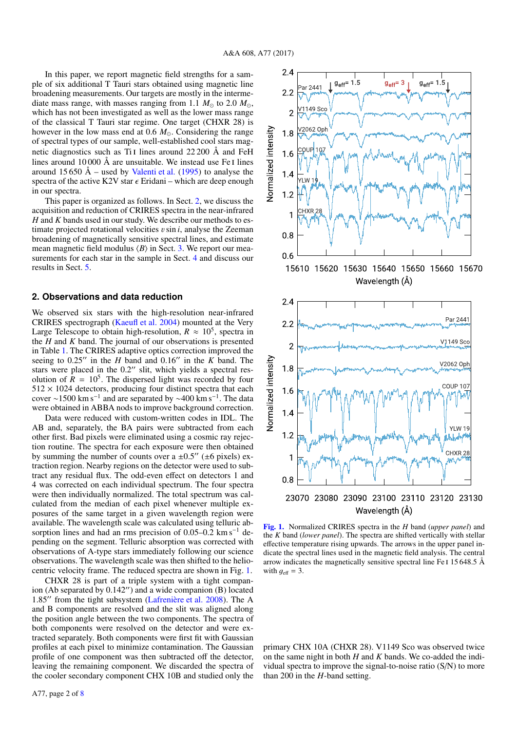In this paper, we report magnetic field strengths for a sample of six additional T Tauri stars obtained using magnetic line broadening measurements. Our targets are mostly in the intermediate mass range, with masses ranging from 1.1  $M_{\odot}$  to 2.0  $M_{\odot}$ , which has not been investigated as well as the lower mass range of the classical T Tauri star regime. One target (CHXR 28) is however in the low mass end at  $0.6 M_{\odot}$ . Considering the range of spectral types of our sample, well-established cool stars magnetic diagnostics such as Ti I lines around  $22\,200\;$ Å and FeH lines around 10 000 Å are unsuitable. We instead use Fe I lines around 15 650 Å – used by Valenti et al. (1995) to analyse the spectra of the active K2V star  $\epsilon$  Eridani – which are deep enough in our spectra.

This paper is organized as follows. In Sect. 2, we discuss the acquisition and reduction of CRIRES spectra in the near-infrared *H* and *K* bands used in our study. We describe our methods to estimate projected rotational velocities vsin *<sup>i</sup>*, analyse the Zeeman broadening of magnetically sensitive spectral lines, and estimate mean magnetic field modulus  $\langle B \rangle$  in Sect. 3. We report our measurements for each star in the sample in Sect. 4 and discuss our results in Sect. 5.

#### **2. Observations and data reduction**

We observed six stars with the high-resolution near-infrared CRIRES spectrograph (Kaeufl et al. 2004) mounted at the Very Large Telescope to obtain high-resolution,  $R \approx 10^5$ , spectra in the *H* and *K* band. The journal of our observations is presented in Table 1. The CRIRES adaptive optics correction improved the seeing to  $0.25$ " in the *H* band and  $0.16$ " in the *K* band. The stars were placed in the 0.2" slit, which yields a spectral res-<br>olution of  $R = 10^5$ . The dispersed light was recorded by four olution of  $\bar{R} = 10^5$ . The dispersed light was recorded by four  $512 \times 1024$  detectors, producing four distinct spectra that each cover ~1500 km s<sup>-1</sup> and are separated by ~400 km s<sup>-1</sup>. The data were obtained in ABBA nods to improve background correction.

Data were reduced with custom-written codes in IDL. The AB and, separately, the BA pairs were subtracted from each other first. Bad pixels were eliminated using a cosmic ray rejection routine. The spectra for each exposure were then obtained by summing the number of counts over  $a \pm 0.5$ " ( $\pm 6$  pixels) extraction region. Nearby regions on the detector were used to subtraction region. Nearby regions on the detector were used to subtract any residual flux. The odd-even effect on detectors 1 and 4 was corrected on each individual spectrum. The four spectra were then individually normalized. The total spectrum was calculated from the median of each pixel whenever multiple exposures of the same target in a given wavelength region were available. The wavelength scale was calculated using telluric absorption lines and had an rms precision of  $0.05-0.2 \text{ km s}^{-1}$  depending on the segment. Telluric absorption was corrected with observations of A-type stars immediately following our science observations. The wavelength scale was then shifted to the heliocentric velocity frame. The reduced spectra are shown in Fig. 1.

CHXR 28 is part of a triple system with a tight companion (Ab separated by  $0.142$ ") and a wide companion (B) located  $1.85''$  from the tight subsystem (Lafrenière et al. 2008). The A and B components are resolved and the slit was aligned along the position angle between the two components. The spectra of both components were resolved on the detector and were extracted separately. Both components were first fit with Gaussian profiles at each pixel to minimize contamination. The Gaussian profile of one component was then subtracted off the detector, leaving the remaining component. We discarded the spectra of the cooler secondary component CHX 10B and studied only the



[Fig. 1.](http://dexter.edpsciences.org/applet.php?DOI=10.1051/0004-6361/201731889&pdf_id=1) Normalized CRIRES spectra in the *H* band (*upper panel*) and the *K* band (*lower panel*). The spectra are shifted vertically with stellar effective temperature rising upwards. The arrows in the upper panel indicate the spectral lines used in the magnetic field analysis. The central arrow indicates the magnetically sensitive spectral line Fe  $I$  15 648.5 Å with  $q_{\text{eff}} = 3$ .

primary CHX 10A (CHXR 28). V1149 Sco was observed twice on the same night in both *H* and *K* bands. We co-added the individual spectra to improve the signal-to-noise ratio (S/N) to more than 200 in the *H*-band setting.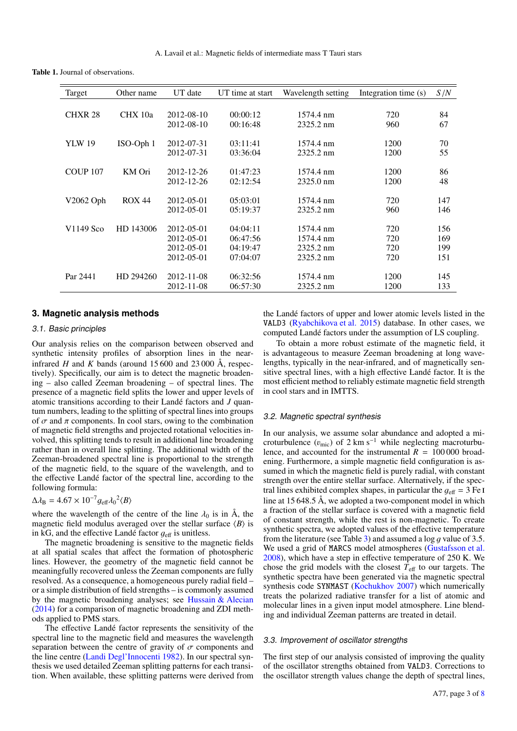Table 1. Journal of observations.

| Target              | Other name    | UT date    | UT time at start | Wavelength setting | Integration time (s) | S/N |
|---------------------|---------------|------------|------------------|--------------------|----------------------|-----|
|                     |               |            |                  |                    |                      |     |
| CHXR <sub>28</sub>  | CHX 10a       | 2012-08-10 | 00:00:12         | 1574.4 nm          | 720                  | 84  |
|                     |               | 2012-08-10 | 00:16:48         | 2325.2 nm          | 960                  | 67  |
| <b>YLW 19</b>       | ISO-Oph 1     | 2012-07-31 | 03:11:41         | 1574.4 nm          | 1200                 | 70  |
|                     |               | 2012-07-31 | 03:36:04         | 2325.2 nm          | 1200                 | 55  |
|                     |               |            |                  |                    |                      |     |
| COUP <sub>107</sub> | KM Ori        | 2012-12-26 | 01:47:23         | 1574.4 nm          | 1200                 | 86  |
|                     |               | 2012-12-26 | 02:12:54         | 2325.0 nm          | 1200                 | 48  |
|                     |               |            |                  |                    |                      |     |
| V2062 Oph           | <b>ROX 44</b> | 2012-05-01 | 05:03:01         | 1574.4 nm          | 720                  | 147 |
|                     |               | 2012-05-01 | 05:19:37         | 2325.2 nm          | 960                  | 146 |
| V1149 Sco           | HD 143006     | 2012-05-01 | 04:04:11         | 1574.4 nm          | 720                  | 156 |
|                     |               | 2012-05-01 | 06:47:56         | 1574.4 nm          | 720                  | 169 |
|                     |               | 2012-05-01 | 04:19:47         | 2325.2 nm          | 720                  | 199 |
|                     |               | 2012-05-01 | 07:04:07         | 2325.2 nm          | 720                  | 151 |
|                     |               |            |                  |                    |                      |     |
| Par 2441            | HD 294260     | 2012-11-08 | 06:32:56         | 1574.4 nm          | 1200                 | 145 |
|                     |               | 2012-11-08 | 06:57:30         | 2325.2 nm          | 1200                 | 133 |

#### **3. Magnetic analysis methods**

### 3.1. Basic principles

Our analysis relies on the comparison between observed and synthetic intensity profiles of absorption lines in the nearinfrared *H* and *K* bands (around  $15600$  and  $23000$  Å, respectively). Specifically, our aim is to detect the magnetic broadening – also called Zeeman broadening – of spectral lines. The presence of a magnetic field splits the lower and upper levels of atomic transitions according to their Landé factors and *J* quantum numbers, leading to the splitting of spectral lines into groups of  $\sigma$  and  $\pi$  components. In cool stars, owing to the combination of magnetic field strengths and projected rotational velocities involved, this splitting tends to result in additional line broadening rather than in overall line splitting. The additional width of the Zeeman-broadened spectral line is proportional to the strength of the magnetic field, to the square of the wavelength, and to the effective Landé factor of the spectral line, according to the following formula:

 $\Delta \lambda_B = 4.67 \times 10^{-7} g_{\text{eff}} \lambda_0^2 \langle B \rangle$ 

where the wavelength of the centre of the line  $\lambda_0$  is in Å, the magnetic field modulus averaged over the stellar surface  $\langle B \rangle$  is in kG, and the effective Landé factor  $q_{\text{eff}}$  is unitless.

The magnetic broadening is sensitive to the magnetic fields at all spatial scales that affect the formation of photospheric lines. However, the geometry of the magnetic field cannot be meaningfully recovered unless the Zeeman components are fully resolved. As a consequence, a homogeneous purely radial field – or a simple distribution of field strengths – is commonly assumed by the magnetic broadening analyses; see Hussain & Alecian (2014) for a comparison of magnetic broadening and ZDI methods applied to PMS stars.

The effective Landé factor represents the sensitivity of the spectral line to the magnetic field and measures the wavelength separation between the centre of gravity of  $\sigma$  components and the line centre (Landi Degl'Innocenti 1982). In our spectral synthesis we used detailed Zeeman splitting patterns for each transition. When available, these splitting patterns were derived from the Landé factors of upper and lower atomic levels listed in the VALD3 (Ryabchikova et al. 2015) database. In other cases, we computed Landé factors under the assumption of LS coupling.

To obtain a more robust estimate of the magnetic field, it is advantageous to measure Zeeman broadening at long wavelengths, typically in the near-infrared, and of magnetically sensitive spectral lines, with a high effective Landé factor. It is the most efficient method to reliably estimate magnetic field strength in cool stars and in IMTTS.

#### 3.2. Magnetic spectral synthesis

In our analysis, we assume solar abundance and adopted a microturbulence  $(v_{\text{mic}})$  of 2 km s<sup>-1</sup> while neglecting macroturbulence, and accounted for the instrumental  $R = 100000$  broadening. Furthermore, a simple magnetic field configuration is assumed in which the magnetic field is purely radial, with constant strength over the entire stellar surface. Alternatively, if the spectral lines exhibited complex shapes, in particular the  $g_{\text{eff}} = 3 \text{ Fe I}$ line at 15 648.5 Å, we adopted a two-component model in which a fraction of the stellar surface is covered with a magnetic field of constant strength, while the rest is non-magnetic. To create synthetic spectra, we adopted values of the effective temperature from the literature (see Table 3) and assumed a log q value of 3.5. We used a grid of MARCS model atmospheres (Gustafsson et al. 2008), which have a step in effective temperature of 250 K. We chose the grid models with the closest  $T_{\text{eff}}$  to our targets. The synthetic spectra have been generated via the magnetic spectral synthesis code SYNMAST (Kochukhov 2007) which numerically treats the polarized radiative transfer for a list of atomic and molecular lines in a given input model atmosphere. Line blending and individual Zeeman patterns are treated in detail.

### 3.3. Improvement of oscillator strengths

The first step of our analysis consisted of improving the quality of the oscillator strengths obtained from VALD3. Corrections to the oscillator strength values change the depth of spectral lines,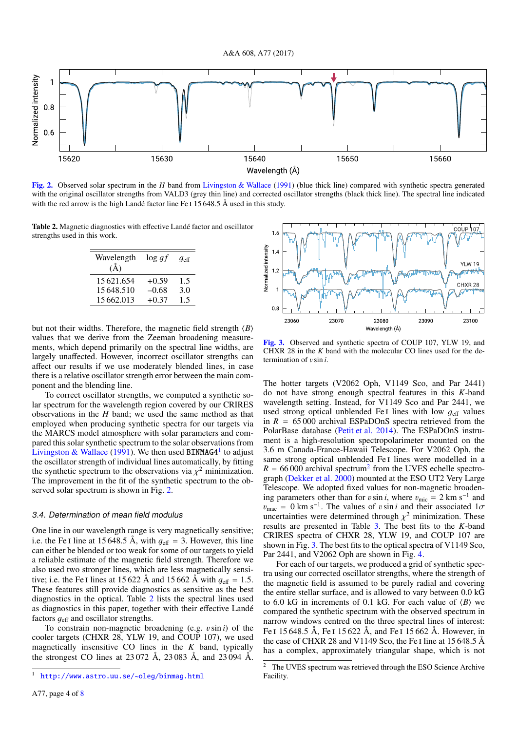

[Fig. 2.](http://dexter.edpsciences.org/applet.php?DOI=10.1051/0004-6361/201731889&pdf_id=2) Observed solar spectrum in the *H* band from Livingston & Wallace (1991) (blue thick line) compared with synthetic spectra generated with the original oscillator strengths from VALD3 (grey thin line) and corrected oscillator strengths (black thick line). The spectral line indicated with the red arrow is the high Landé factor line Fe  $I$  15 648.5 Å used in this study.

Table 2. Magnetic diagnostics with effective Landé factor and oscillator strengths used in this work.

| Wavelength<br>$(\AA)$ | $\log af$ | $g_{\text{eff}}$ |
|-----------------------|-----------|------------------|
| 15621.654             | $+0.59$   | 1.5              |
| 15648.510             | $-0.68$   | 3.0              |
| 15 662,013            | $+0.37$   | 15               |

but not their widths. Therefore, the magnetic field strength  $\langle B \rangle$ values that we derive from the Zeeman broadening measurements, which depend primarily on the spectral line widths, are largely unaffected. However, incorrect oscillator strengths can affect our results if we use moderately blended lines, in case there is a relative oscillator strength error between the main component and the blending line.

To correct oscillator strengths, we computed a synthetic solar spectrum for the wavelength region covered by our CRIRES observations in the *H* band; we used the same method as that employed when producing synthetic spectra for our targets via the MARCS model atmosphere with solar parameters and compared this solar synthetic spectrum to the solar observations from Livingston & Wallace (1991). We then used BINMAG4<sup>1</sup> to adjust the oscillator strength of individual lines automatically, by fitting the synthetic spectrum to the observations via  $\chi^2$  minimization.<br>The improvement in the fit of the synthetic spectrum to the ob-The improvement in the fit of the synthetic spectrum to the observed solar spectrum is shown in Fig. 2.

#### 3.4. Determination of mean field modulus

One line in our wavelength range is very magnetically sensitive; i.e. the Fe I line at 15 648.5 Å, with  $q_{\text{eff}} = 3$ . However, this line can either be blended or too weak for some of our targets to yield a reliable estimate of the magnetic field strength. Therefore we also used two stronger lines, which are less magnetically sensitive; i.e. the Fe I lines at 15 622 Å and 15 662 Å with  $q_{\text{eff}} = 1.5$ . These features still provide diagnostics as sensitive as the best diagnostics in the optical. Table 2 lists the spectral lines used as diagnostics in this paper, together with their effective Landé factors  $q_{\text{eff}}$  and oscillator strengths.

To constrain non-magnetic broadening (e.g. vsin *<sup>i</sup>*) of the cooler targets (CHXR 28, YLW 19, and COUP 107), we used magnetically insensitive CO lines in the *K* band, typically the strongest CO lines at 23 072 Å, 23 083 Å, and 23 094 Å.



[Fig. 3.](http://dexter.edpsciences.org/applet.php?DOI=10.1051/0004-6361/201731889&pdf_id=3) Observed and synthetic spectra of COUP 107, YLW 19, and CHXR 28 in the *K* band with the molecular CO lines used for the determination of vsin *<sup>i</sup>*.

The hotter targets (V2062 Oph, V1149 Sco, and Par 2441) do not have strong enough spectral features in this *K*-band wavelength setting. Instead, for V1149 Sco and Par 2441, we used strong optical unblended Fe I lines with low  $g_{\text{eff}}$  values in  $R = 65000$  archival ESPaDOnS spectra retrieved from the PolarBase database (Petit et al. 2014). The ESPaDOnS instrument is a high-resolution spectropolarimeter mounted on the 3.6 m Canada-France-Hawaii Telescope. For V2062 Oph, the same strong optical unblended Fe<sub>I</sub> lines were modelled in a  $R = 66000$  archival spectrum<sup>2</sup> from the UVES echelle spectrograph (Dekker et al. 2000) mounted at the ESO UT2 Very Large Telescope. We adopted fixed values for non-magnetic broadening parameters other than for vsin *i*, where  $v_{\text{mic}} = 2 \text{ km s}^{-1}$  and  $v_{\text{max}} = 0 \text{ km s}^{-1}$ . The values of vsin *i* and their associated 1 $\sigma$  $v_{\text{mac}} = 0 \text{ km s}^{-1}$ . The values of vsin *i* and their associated 1 $\sigma$ <br>uncertainties were determined through  $v^2$  minimization. These uncertainties were determined through  $\chi^2$  minimization. These<br>results are presented in Table 3. The best fits to the K-band results are presented in Table 3. The best fits to the *K*-band CRIRES spectra of CHXR 28, YLW 19, and COUP 107 are shown in Fig. 3. The best fits to the optical spectra of V1149 Sco, Par 2441, and V2062 Oph are shown in Fig. 4.

For each of our targets, we produced a grid of synthetic spectra using our corrected oscillator strengths, where the strength of the magnetic field is assumed to be purely radial and covering the entire stellar surface, and is allowed to vary between 0.0 kG to 6.0 kG in increments of 0.1 kG. For each value of  $\langle B \rangle$  we compared the synthetic spectrum with the observed spectrum in narrow windows centred on the three spectral lines of interest: Fe i 15 648.5 Å, Fe i 15 622 Å, and Fe i 15 662 Å. However, in the case of CHXR 28 and V1149 Sco, the Fe I line at 15 648.5 Å has a complex, approximately triangular shape, which is not

<sup>1</sup> <http://www.astro.uu.se/~oleg/binmag.html>

<sup>&</sup>lt;sup>2</sup> The UVES spectrum was retrieved through the ESO Science Archive Facility.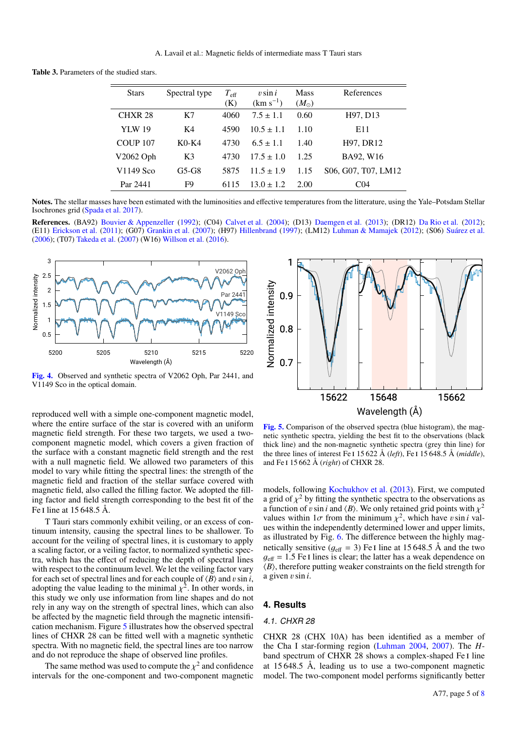Table 3. Parameters of the studied stars.

÷,

| <b>Stars</b>       | Spectral type  | $T_{\text{eff}}$<br>(K) | $v \sin i$<br>$(km s^{-1})$ | <b>Mass</b><br>$(M_{\odot})$ | References          |
|--------------------|----------------|-------------------------|-----------------------------|------------------------------|---------------------|
| CHXR <sub>28</sub> | K7             | 4060                    | $7.5 + 1.1$                 | 0.60                         | H97, D13            |
| YLW 19             | K4             | 4590                    | $10.5 \pm 1.1$              | 1.10                         | E11                 |
| COUP 107           | $K0-K4$        | 4730                    | $6.5 \pm 1.1$               | 1.40                         | H97, DR12           |
| V2062 Oph          | K3             | 4730                    | $17.5 \pm 1.0$              | 1.25                         | BA92, W16           |
| V1149 Sco          | $G5-G8$        | 5875                    | $11.5 \pm 1.9$              | 1.15                         | S06, G07, T07, LM12 |
| Par 2441           | F <sub>9</sub> | 6115                    | $13.0 \pm 1.2$              | 2.00                         | CO <sub>4</sub>     |
|                    |                |                         |                             |                              |                     |

Notes. The stellar masses have been estimated with the luminosities and effective temperatures from the litterature, using the Yale–Potsdam Stellar Isochrones grid (Spada et al. 2017).

References. (BA92) Bouvier & Appenzeller (1992); (C04) Calvet et al. (2004); (D13) Daemgen et al. (2013); (DR12) Da Rio et al. (2012); (E11) Erickson et al. (2011); (G07) Grankin et al. (2007); (H97) Hillenbrand (1997); (LM12) Luhman & Mamajek (2012); (S06) Suárez et al. (2006); (T07) Takeda et al. (2007) (W16) Willson et al. (2016).



[Fig. 4.](http://dexter.edpsciences.org/applet.php?DOI=10.1051/0004-6361/201731889&pdf_id=4) Observed and synthetic spectra of V2062 Oph, Par 2441, and V1149 Sco in the optical domain.

reproduced well with a simple one-component magnetic model, where the entire surface of the star is covered with an uniform magnetic field strength. For these two targets, we used a twocomponent magnetic model, which covers a given fraction of the surface with a constant magnetic field strength and the rest with a null magnetic field. We allowed two parameters of this model to vary while fitting the spectral lines: the strength of the magnetic field and fraction of the stellar surface covered with magnetic field, also called the filling factor. We adopted the filling factor and field strength corresponding to the best fit of the Fe I line at  $15648.5 \text{ Å}$ .

T Tauri stars commonly exhibit veiling, or an excess of continuum intensity, causing the spectral lines to be shallower. To account for the veiling of spectral lines, it is customary to apply a scaling factor, or a veiling factor, to normalized synthetic spectra, which has the effect of reducing the depth of spectral lines with respect to the continuum level. We let the veiling factor vary for each set of spectral lines and for each couple of  $\langle B \rangle$  and v sin *i*, adopting the value leading to the minimal  $\chi^2$ . In other words, in this study we only use information from line shapes and do not this study we only use information from line shapes and do not rely in any way on the strength of spectral lines, which can also be affected by the magnetic field through the magnetic intensification mechanism. Figure 5 illustrates how the observed spectral lines of CHXR 28 can be fitted well with a magnetic synthetic spectra. With no magnetic field, the spectral lines are too narrow and do not reproduce the shape of observed line profiles.

The same method was used to compute the  $\chi^2$  and confidence<br>ryals for the one-component and two-component magnetic intervals for the one-component and two-component magnetic



[Fig. 5.](http://dexter.edpsciences.org/applet.php?DOI=10.1051/0004-6361/201731889&pdf_id=5) Comparison of the observed spectra (blue histogram), the magnetic synthetic spectra, yielding the best fit to the observations (black thick line) and the non-magnetic synthetic spectra (grey thin line) for the three lines of interest Fe i 15 622 Å (*left*), Fe i 15 648.5 Å (*middle*), and Fe i 15 662 Å (*right*) of CHXR 28.

models, following Kochukhov et al. (2013). First, we computed a grid of  $\chi^2$  by fitting the synthetic spectra to the observations as<br>a function of usin i and (B). We only retained grid points with  $v^2$ a function of vsin *i* and  $\langle B \rangle$ . We only retained grid points with  $\chi^2$  values within  $1\sigma$  from the minimum  $v^2$  which have usin *i* values values within  $1\sigma$  from the minimum  $\chi^2$ , which have *v* sin *i* values within the independently determined lower and upper limits ues within the independently determined lower and upper limits, as illustrated by Fig. 6. The difference between the highly magnetically sensitive ( $g_{\text{eff}}$  = 3) Fe I line at 15 648.5 Å and the two  $q_{\text{eff}} = 1.5$  Fe I lines is clear; the latter has a weak dependence on  $\langle B \rangle$ , therefore putting weaker constraints on the field strength for a given vsin *<sup>i</sup>*.

# **4. Results**

# 4.1. CHXR 28

CHXR 28 (CHX 10A) has been identified as a member of the Cha I star-forming region (Luhman 2004, 2007). The *H*band spectrum of CHXR 28 shows a complex-shaped Fe I line at 15 648.5 Å, leading us to use a two-component magnetic model. The two-component model performs significantly better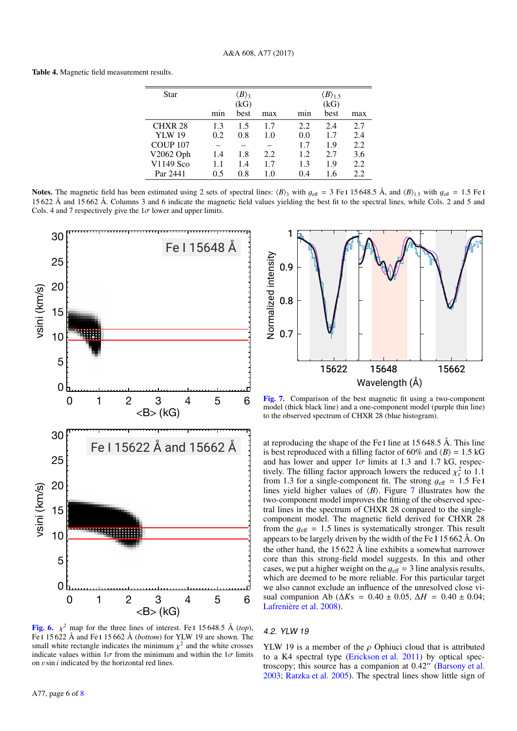Table 4. Magnetic field measurement results.

| Star                |     | $\langle B \rangle_3$ |     |     | $\langle B \rangle_{1.5}$ |     |
|---------------------|-----|-----------------------|-----|-----|---------------------------|-----|
|                     |     | (kG)                  |     |     | (kG)                      |     |
|                     | min | best                  | max | mnn | hest                      | max |
| CHXR <sub>28</sub>  | 1.3 | 1.5                   | 1.7 | 2.2 | 2.4                       | 2.7 |
| <b>YLW 19</b>       | 0.2 | 0.8                   | 1.0 | 0.0 | 1.7                       | 2.4 |
| COUP <sub>107</sub> |     |                       |     | 1.7 | 1.9                       | 2.2 |
| V2062 Oph           | 1.4 | 1.8                   | 2.2 | 1.2 | 2.7                       | 3.6 |
| V1149 Sco           | 1.1 | 1.4                   | 1.7 | 1.3 | 1.9                       | 2.2 |
| Par 2441            | 0.5 | 0.8                   | 1.0 | 0.4 | 1.6                       | 2.2 |
|                     |     |                       |     |     |                           |     |

Notes. The magnetic field has been estimated using 2 sets of spectral lines:  $\langle B \rangle$ <sub>3</sub> with  $g_{\text{eff}} = 3$  Fe i 15 648.5 Å, and  $\langle B \rangle$ <sub>1.5</sub> with  $g_{\text{eff}} = 1.5$  Fe i 15 622 Å and 15 662 Å. Columns 3 and 6 indicate the magnetic field values yielding the best fit to the spectral lines, while Cols. 2 and 5 and Cols. 4 and 7 respectively give the  $1\sigma$  lower and upper limits.



[Fig. 6.](http://dexter.edpsciences.org/applet.php?DOI=10.1051/0004-6361/201731889&pdf_id=6)  $\chi^2$  map for the three lines of interest. Fe I 15 648.5 Å (*top*),<br>Fe I 15 622 Å and Fe I 15 662 Å (*hottom*) for VI W 19 are shown. The Fe i 15 622 Å and Fe i 15 662 Å (*bottom*) for YLW 19 are shown. The small white rectangle indicates the minimum  $\chi^2$  and the white crosses<br>indicate values within  $1\sigma$  from the minimum and within the  $1\sigma$  limits indicate values within  $1\sigma$  from the minimum and within the  $1\sigma$  limits on vsin *<sup>i</sup>* indicated by the horizontal red lines.



[Fig. 7.](http://dexter.edpsciences.org/applet.php?DOI=10.1051/0004-6361/201731889&pdf_id=7) Comparison of the best magnetic fit using a two-component model (thick black line) and a one-component model (purple thin line) to the observed spectrum of CHXR 28 (blue histogram).

at reproducing the shape of the Fe I line at  $15648.5$  Å. This line is best reproduced with a filling factor of 60% and  $\langle B \rangle = 1.5$  kG and has lower and upper  $1\sigma$  limits at 1.3 and 1.7 kG, respectively. The filling factor approach lowers the reduced  $\chi^2$  to 1.1 from 1.3 for a single-component fit. The strong  $a_{\text{eff}} = 1.5$  Fe1 from 1.3 for a single-component fit. The strong  $g_{\text{eff}} = 1.5$  Fe I lines yield higher values of  $\langle B \rangle$ . Figure 7 illustrates how the two-component model improves the fitting of the observed spectral lines in the spectrum of CHXR 28 compared to the singlecomponent model. The magnetic field derived for CHXR 28 from the  $g_{\text{eff}} = 1.5$  lines is systematically stronger. This result appears to be largely driven by the width of the Fe I 15 662 Å. On the other hand, the  $15622 \text{ Å}$  line exhibits a somewhat narrower core than this strong-field model suggests. In this and other cases, we put a higher weight on the  $g_{\text{eff}} = 3$  line analysis results, which are deemed to be more reliable. For this particular target we also cannot exclude an influence of the unresolved close visual companion Ab ( $\Delta Ks = 0.40 \pm 0.05$ ,  $\Delta H = 0.40 \pm 0.04$ ; Lafrenière et al. 2008).

# 4.2. YLW 19

YLW 19 is a member of the  $\rho$  Ophiuci cloud that is attributed to a K4 spectral type (Erickson et al. 2011) by optical spectroscopy; this source has a companion at  $0.42$ " (Barsony et al. 2003; Ratzka et al. 2005). The spectral lines show little sign of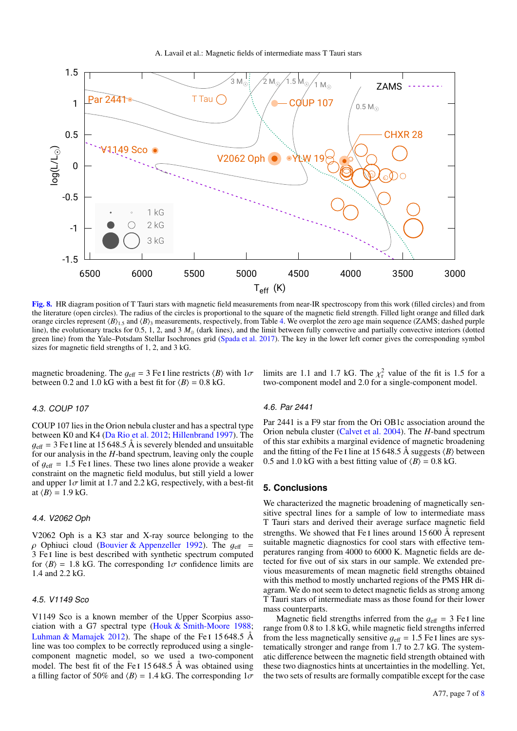

[Fig. 8.](http://dexter.edpsciences.org/applet.php?DOI=10.1051/0004-6361/201731889&pdf_id=8) HR diagram position of T Tauri stars with magnetic field measurements from near-IR spectroscopy from this work (filled circles) and from the literature (open circles). The radius of the circles is proportional to the square of the magnetic field strength. Filled light orange and filled dark orange circles represent  $\langle B \rangle$ <sub>1.5</sub> and  $\langle B \rangle$ <sub>3</sub> measurements, respectively, from Table 4. We overplot the zero age main sequence (ZAMS; dashed purple line), the evolutionary tracks for 0.5, 1, 2, and 3  $M_{\odot}$  (dark lines), and the limit between fully convective and partially convective interiors (dotted green line) from the Yale–Potsdam Stellar Isochrones grid (Spada et al. 2017). The key in the lower left corner gives the corresponding symbol sizes for magnetic field strengths of 1, 2, and 3 kG.

magnetic broadening. The  $g_{\text{eff}} = 3$  Fe I line restricts  $\langle B \rangle$  with  $1\sigma$ between 0.2 and 1.0 kG with a best fit for  $\langle B \rangle = 0.8$  kG.

limits are 1.1 and 1.7 kG. The  $\chi^2$  value of the fit is 1.5 for a two-component model and 2.0 for a single-component model two-component model and 2.0 for a single-component model.

#### 4.3. COUP 107

COUP 107 lies in the Orion nebula cluster and has a spectral type between K0 and K4 (Da Rio et al. 2012; Hillenbrand 1997). The  $g_{\text{eff}}$  = 3 Fe I line at 15 648.5 Å is severely blended and unsuitable for our analysis in the *H*-band spectrum, leaving only the couple of  $q_{\text{eff}} = 1.5$  Fe I lines. These two lines alone provide a weaker constraint on the magnetic field modulus, but still yield a lower and upper  $1\sigma$  limit at 1.7 and 2.2 kG, respectively, with a best-fit at  $\langle B \rangle$  = 1.9 kG.

#### 4.4. V2062 Oph

V2062 Oph is a K3 star and X-ray source belonging to the  $ρ$  Ophiuci cloud (Bouvier & Appenzeller 1992). The  $g_{\text{eff}}$  = 3 Fe i line is best described with synthetic spectrum computed for  $\langle B \rangle$  = 1.8 kG. The corresponding  $1\sigma$  confidence limits are 1.4 and 2.2 kG.

#### 4.5. V1149 Sco

V1149 Sco is a known member of the Upper Scorpius association with a G7 spectral type (Houk & Smith-Moore 1988; Luhman & Mamajek 2012). The shape of the Fe I 15 648.5 Å line was too complex to be correctly reproduced using a singlecomponent magnetic model, so we used a two-component model. The best fit of the Fe I 15 648.5  $\AA$  was obtained using a filling factor of 50% and  $\langle B \rangle = 1.4$  kG. The corresponding  $1\sigma$ 

# 4.6. Par 2441

Par 2441 is a F9 star from the Ori OB1c association around the Orion nebula cluster (Calvet et al. 2004). The *H*-band spectrum of this star exhibits a marginal evidence of magnetic broadening and the fitting of the Fe I line at 15 648.5 Å suggests  $\langle B \rangle$  between 0.5 and 1.0 kG with a best fitting value of  $\langle B \rangle = 0.8$  kG.

# **5. Conclusions**

We characterized the magnetic broadening of magnetically sensitive spectral lines for a sample of low to intermediate mass T Tauri stars and derived their average surface magnetic field strengths. We showed that Fe I lines around  $15\,600\text{ Å}$  represent suitable magnetic diagnostics for cool stars with effective temperatures ranging from 4000 to 6000 K. Magnetic fields are detected for five out of six stars in our sample. We extended previous measurements of mean magnetic field strengths obtained with this method to mostly uncharted regions of the PMS HR diagram. We do not seem to detect magnetic fields as strong among T Tauri stars of intermediate mass as those found for their lower mass counterparts.

Magnetic field strengths inferred from the  $g_{\text{eff}} = 3$  Fe I line range from 0.8 to 1.8 kG, while magnetic field strengths inferred from the less magnetically sensitive  $q_{\text{eff}} = 1.5$  Fe I lines are systematically stronger and range from 1.7 to 2.7 kG. The systematic difference between the magnetic field strength obtained with these two diagnostics hints at uncertainties in the modelling. Yet, the two sets of results are formally compatible except for the case